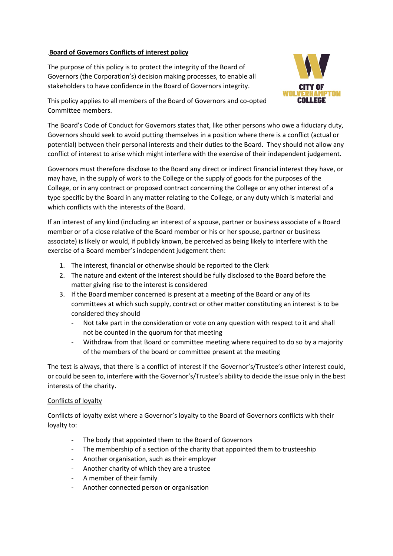## .**Board of Governors Conflicts of interest policy**

The purpose of this policy is to protect the integrity of the Board of Governors (the Corporation's) decision making processes, to enable all stakeholders to have confidence in the Board of Governors integrity.



This policy applies to all members of the Board of Governors and co-opted Committee members.

The Board's Code of Conduct for Governors states that, like other persons who owe a fiduciary duty, Governors should seek to avoid putting themselves in a position where there is a conflict (actual or potential) between their personal interests and their duties to the Board. They should not allow any conflict of interest to arise which might interfere with the exercise of their independent judgement.

Governors must therefore disclose to the Board any direct or indirect financial interest they have, or may have, in the supply of work to the College or the supply of goods for the purposes of the College, or in any contract or proposed contract concerning the College or any other interest of a type specific by the Board in any matter relating to the College, or any duty which is material and which conflicts with the interests of the Board.

If an interest of any kind (including an interest of a spouse, partner or business associate of a Board member or of a close relative of the Board member or his or her spouse, partner or business associate) is likely or would, if publicly known, be perceived as being likely to interfere with the exercise of a Board member's independent judgement then:

- 1. The interest, financial or otherwise should be reported to the Clerk
- 2. The nature and extent of the interest should be fully disclosed to the Board before the matter giving rise to the interest is considered
- 3. If the Board member concerned is present at a meeting of the Board or any of its committees at which such supply, contract or other matter constituting an interest is to be considered they should
	- Not take part in the consideration or vote on any question with respect to it and shall not be counted in the quorum for that meeting
	- Withdraw from that Board or committee meeting where required to do so by a majority of the members of the board or committee present at the meeting

The test is always, that there is a conflict of interest if the Governor's/Trustee's other interest could, or could be seen to, interfere with the Governor's/Trustee's ability to decide the issue only in the best interests of the charity.

## Conflicts of loyalty

Conflicts of loyalty exist where a Governor's loyalty to the Board of Governors conflicts with their loyalty to:

- The body that appointed them to the Board of Governors
- The membership of a section of the charity that appointed them to trusteeship
- Another organisation, such as their employer
- Another charity of which they are a trustee
- A member of their family
- Another connected person or organisation